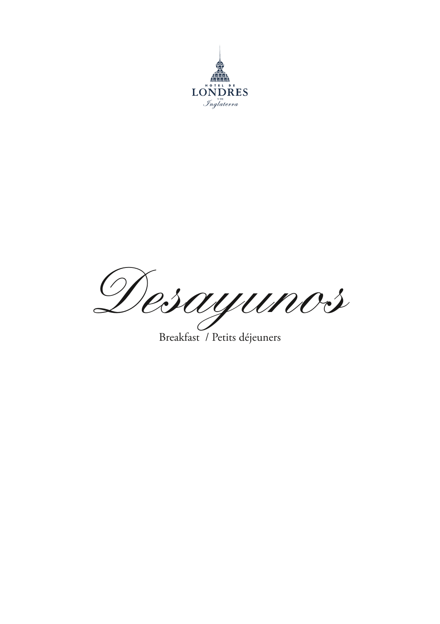

*Desayunos*

Breakfast / Petits déjeuners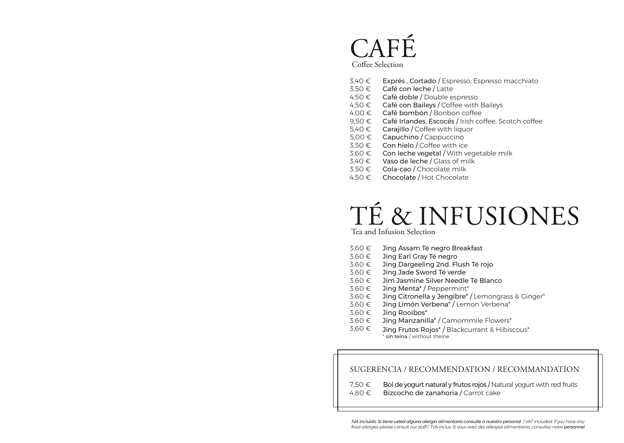### CAFÉ Coffee Selection

- 3,40 € Exprés , Cortado / Espresso, Espresso macchiato
- 3,50 € Café con leche / Latte
- 4,50 € Café doble / Double espresso
- 4,50  $∈$  Café con Baileys / Coffee with Baileys
- 4,00 € Café bombón / Bonbon coffee
- 9,50 € Café Irlandes, Escocés / Irish coffee, Scotch coffee
- 5,40 € Carajillo / Coffee with liquor
- 5,00 € Capuchino / Cappuccino
- 3,50 € Con hielo / Coffee with ice
- 3,60 € Con leche vegetal / With vegetable milk
- 3,40 € Vaso de leche / Glass of milk
- 3,50 € Cola-cao / Chocolate milk
- 4,50 € Chocolate / Hot Chocolate

# TÉ & INFUSIONES

Tea and Infusion Selection

- 3,60 € Jing Assam Té negro Breakfast
- 3,60 € Jing Earl Gray Té negro
- 3,60 € Jing Dargeeling 2nd. Flush Té rojo
- 3,60 € Jing Jade Sword Té verde
- 3,60 € Jim Jasmine Silver Needle Té Blanco
- 3,60 € Jing Menta\* / Peppermint\*
- 3,60 € Jing Citronella y Jengibre\* / Lemongrass & Ginger\*
- 3,60 € Jing Limón Verbena\* / Lemon Verbena\*
- 3,60 € Jing Rooibos\*
- 3,60 € Jing Manzanilla\* / Camommile Flowers\*
- 3,60 € Jing Frutos Rojos\* / Blackcurrant & Hibiscous\* \* sin teína / without theine

#### SUGERENCIA / RECOMMENDATION / RECOMMANDATION

7,50 € Bol de yogurt natural y frutos rojos / Natural yogurt with red fruits

4,80 € Bizcocho de zanahoria / Carrot cake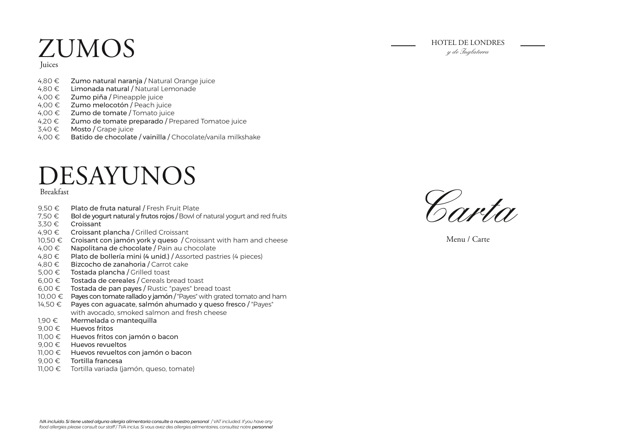# $\text{ZUMOS} \hspace{1cm} \longrightarrow \hspace{1cm} \text{HOTEL DE LONDRES}$

Juices

- Zumo natural naranja / Natural Orange juice 4,80 €
- 4,80 € **Limonada natural /** Natural Lemonade
- 4,00 € Z**umo piña /** Pineapple juice
- 4,00 € Zumo melocotón / Peach juice
- 4,00  $∈$   $Z$ umo de tomate / Tomato juice
- 4,20 € Zumo de tomate preparado / Prepared Tomatoe juice
- 3,40 € M**osto /** Grape juice
- 4,00 € Batido de chocolate / vainilla / Chocolate/vanila milkshake

### DESAYUNOS

#### Breakfast

- Plato de fruta natural / Fresh Fruit Plate 9,50 €
- Bol de yogurt natural y frutos rojos / Bowl of natural yogurt and red fruits 7,50 €
- Croissant 3,30 €
- 4,90 € **Croissant plancha /** Grilled Croissant
- 10,50 €  $\,$  Croisant con jamón york y queso / Croissant with ham and cheese
- Napolitana de chocolate / Pain au chocolate  $4.00 \in$
- 4,80 € Plato de bollería mini (4 unid.) / Assorted pastries (4 pieces)
- 4,80 € Bizcocho de zanahoria / Carrot cake
- 5,00  $∈$  Tostada plancha / Grilled toast
- $6,00 \in$  Tostada de cereales / Cereals bread toast
- $6,00 \in$  Tostada de pan payes / Rustic "payes" bread toast
- 10,00 € P**ayes con tomate rallado y jamón /** "Payes" with grated tomato and ham
- 14,50 € Payes con aguacate, salmón ahumado y queso fresco / "Payes" with avocado, smoked salmon and fresh cheese
- 1,90 € Mermelada o mantequilla
- $9,00 \in$  Huevos fritos
- 11,00 € Huevos fritos con jamón o bacon
- $9,00 \in$  Huevos revueltos
- 11,00 € Huevos revueltos con jamón o bacon
- Tortilla francesa 9,00 €
- 11,00 € Tortilla variada (jamón, queso, tomate)



Menu / Carte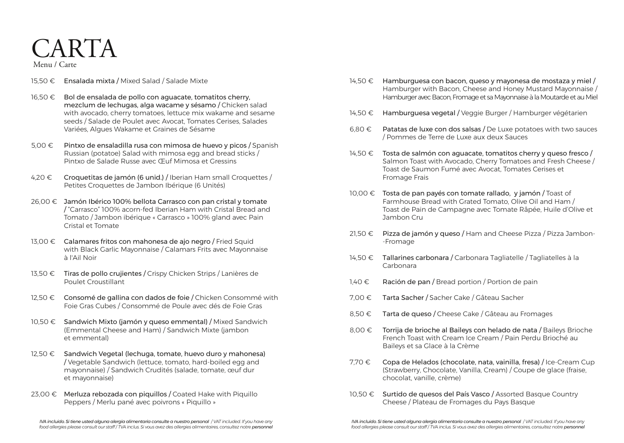## CARTA

Menu / Carte

- 15,50 € Ensalada mixta / Mixed Salad / Salade Mixte
- 16,50 € Bol de ensalada de pollo con aguacate, tomatitos cherry, mezclum de lechugas, alga wacame y sésamo / Chicken salad with avocado, cherry tomatoes, lettuce mix wakame and sesame seeds / Salade de Poulet avec Avocat, Tomates Cerises, Salades Variées, Algues Wakame et Graines de Sésame
- 5,00 € Pintxo de ensaladilla rusa con mimosa de huevo y picos / Spanish Russian (potatoe) Salad with mimosa egg and bread sticks / Pintxo de Salade Russe avec Œuf Mimosa et Gressins
- 4,20  $\epsilon$  Croquetitas de jamón (6 unid.) / Iberian Ham small Croquettes / Petites Croquettes de Jambon Ibérique (6 Unités)
- 26,00 € Jamón Ibérico 100% bellota Carrasco con pan cristal y tomate / "Carrasco" 100% acorn-fed Iberian Ham with Cristal Bread and Tomato / Jambon ibérique « Carrasco » 100% gland avec Pain Cristal et Tomate
- 13,00 € Calamares fritos con mahonesa de ajo negro / Fried Squid with Black Garlic Mayonnaise / Calamars Frits avec Mayonnaise à l'Ail Noir
- 13,50 € Tiras de pollo crujientes / Crispy Chicken Strips / Lanières de Poulet Croustillant
- 12,50 € Consomé de gallina con dados de foie / Chicken Consommé with Foie Gras Cubes / Consommé de Poule avec dés de Foie Gras
- 10,50 € Sandwich Mixto (jamón y queso emmental) / Mixed Sandwich (Emmental Cheese and Ham) / Sandwich Mixte (jambon et emmental)
- 12,50 € Sandwich Vegetal (lechuga, tomate, huevo duro y mahonesa) / Vegetable Sandwich (lettuce, tomato, hard-boiled egg and mayonnaise) / Sandwich Crudités (salade, tomate, œuf dur et mayonnaise)
- 23,00 € Merluza rebozada con piquillos / Coated Hake with Piquillo Peppers / Merlu pané avec poivrons « Piquillo »
- 14,50 € Hamburguesa con bacon, queso y mayonesa de mostaza y miel / Hamburger with Bacon, Cheese and Honey Mustard Mayonnaise / Hamburger avec Bacon, Fromage et sa Mayonnaise à la Moutarde et au Miel
- 14,50 € Hamburguesa vegetal / Veggie Burger / Hamburger végétarien
- 6,80  $∈$  Patatas de luxe con dos salsas / De Luxe potatoes with two sauces / Pommes de Terre de Luxe aux deux Sauces
- $14,50 \in$  Tosta de salmón con aguacate, tomatitos cherry y queso fresco / Salmon Toast with Avocado, Cherry Tomatoes and Fresh Cheese / Toast de Saumon Fumé avec Avocat, Tomates Cerises et Fromage Frais
- 10,00 € Tosta de pan payés con tomate rallado, y jamón / Toast of Farmhouse Bread with Grated Tomato, Olive Oil and Ham / Toast de Pain de Campagne avec Tomate Râpée, Huile d'Olive et Jambon Cru
- 21,50 € Pizza de jamón y queso / Ham and Cheese Pizza / Pizza Jambon- -Fromage
- 14,50 € Tallarines carbonara / Carbonara Tagliatelle / Tagliatelles à la Carbonara
- 1,40 € Ración de pan / Bread portion / Portion de pain
- 7,00 € Tarta Sacher / Sacher Cake / Gâteau Sacher
- 8,50 € Tarta de queso / Cheese Cake / Gâteau au Fromages
- 8,00 € Torrija de brioche al Baileys con helado de nata / Baileys Brioche French Toast with Cream Ice Cream / Pain Perdu Brioché au Baileys et sa Glace à la Crème
- 7,70 € Copa de Helados (chocolate, nata, vainilla, fresa) / Ice-Cream Cup (Strawberry, Chocolate, Vanilla, Cream) / Coupe de glace (fraise, chocolat, vanille, crème)
- 10,50 € Surtido de quesos del País Vasco / Assorted Basque Country Cheese / Plateau de Fromages du Pays Basque